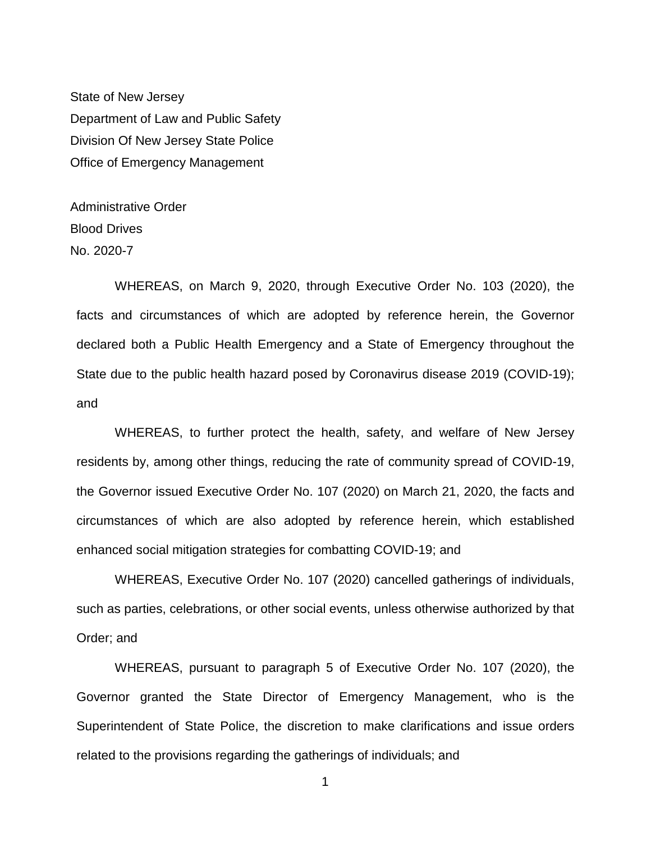State of New Jersey Department of Law and Public Safety Division Of New Jersey State Police Office of Emergency Management

Administrative Order Blood Drives No. 2020-7

WHEREAS, on March 9, 2020, through Executive Order No. 103 (2020), the facts and circumstances of which are adopted by reference herein, the Governor declared both a Public Health Emergency and a State of Emergency throughout the State due to the public health hazard posed by Coronavirus disease 2019 (COVID-19); and

WHEREAS, to further protect the health, safety, and welfare of New Jersey residents by, among other things, reducing the rate of community spread of COVID-19, the Governor issued Executive Order No. 107 (2020) on March 21, 2020, the facts and circumstances of which are also adopted by reference herein, which established enhanced social mitigation strategies for combatting COVID-19; and

WHEREAS, Executive Order No. 107 (2020) cancelled gatherings of individuals, such as parties, celebrations, or other social events, unless otherwise authorized by that Order; and

WHEREAS, pursuant to paragraph 5 of Executive Order No. 107 (2020), the Governor granted the State Director of Emergency Management, who is the Superintendent of State Police, the discretion to make clarifications and issue orders related to the provisions regarding the gatherings of individuals; and

1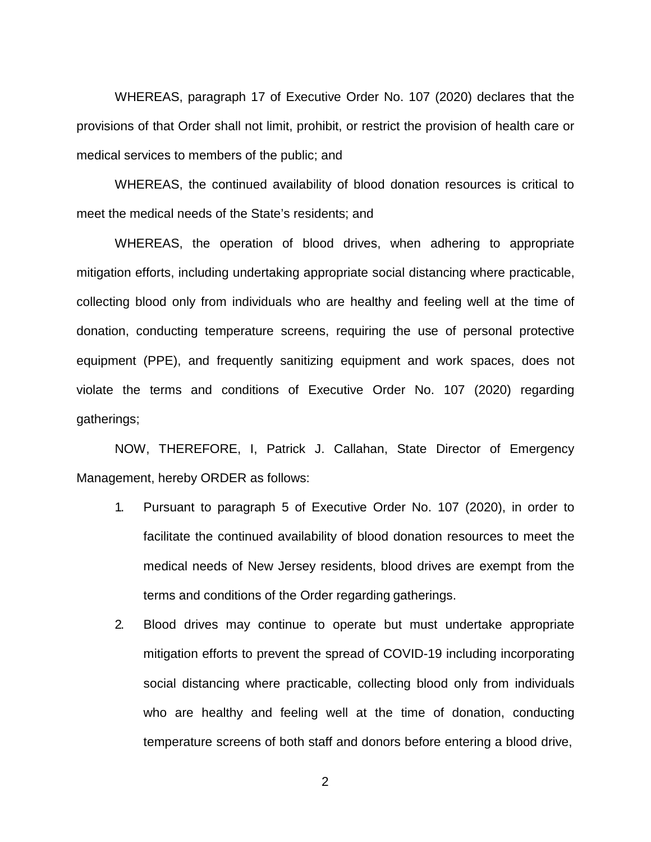WHEREAS, paragraph 17 of Executive Order No. 107 (2020) declares that the provisions of that Order shall not limit, prohibit, or restrict the provision of health care or medical services to members of the public; and

WHEREAS, the continued availability of blood donation resources is critical to meet the medical needs of the State's residents; and

WHEREAS, the operation of blood drives, when adhering to appropriate mitigation efforts, including undertaking appropriate social distancing where practicable, collecting blood only from individuals who are healthy and feeling well at the time of donation, conducting temperature screens, requiring the use of personal protective equipment (PPE), and frequently sanitizing equipment and work spaces, does not violate the terms and conditions of Executive Order No. 107 (2020) regarding gatherings;

NOW, THEREFORE, I, Patrick J. Callahan, State Director of Emergency Management, hereby ORDER as follows:

- 1. Pursuant to paragraph 5 of Executive Order No. 107 (2020), in order to facilitate the continued availability of blood donation resources to meet the medical needs of New Jersey residents, blood drives are exempt from the terms and conditions of the Order regarding gatherings.
- 2. Blood drives may continue to operate but must undertake appropriate mitigation efforts to prevent the spread of COVID-19 including incorporating social distancing where practicable, collecting blood only from individuals who are healthy and feeling well at the time of donation, conducting temperature screens of both staff and donors before entering a blood drive,

2